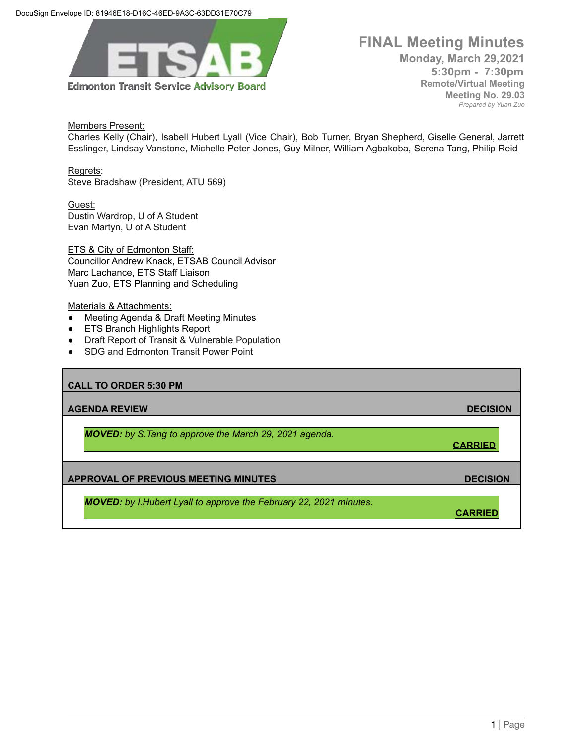

## **FINAL Meeting Minutes Monday, March 29,2021 5:30pm - 7:30pm Remote/Virtual Meeting Meeting No. 29.03**

*Prepared by Yuan Zuo*

Members Present:

Charles Kelly (Chair), Isabell Hubert Lyall (Vice Chair), Bob Turner, Bryan Shepherd, Giselle General, Jarrett Esslinger, Lindsay Vanstone, Michelle Peter-Jones, Guy Milner, William Agbakoba, Serena Tang, Philip Reid

Regrets: Steve Bradshaw (President, ATU 569)

Guest: Dustin Wardrop, U of A Student Evan Martyn, U of A Student

ETS & City of Edmonton Staff: Councillor Andrew Knack, ETSAB Council Advisor Marc Lachance, ETS Staff Liaison Yuan Zuo, ETS Planning and Scheduling

Materials & Attachments:

- Meeting Agenda & Draft Meeting Minutes
- ETS Branch Highlights Report
- **Draft Report of Transit & Vulnerable Population**
- SDG and Edmonton Transit Power Point

| <b>CALL TO ORDER 5:30 PM</b>                                              |                 |
|---------------------------------------------------------------------------|-----------------|
| <b>AGENDA REVIEW</b>                                                      | <b>DECISION</b> |
| <b>MOVED:</b> by S. Tang to approve the March 29, 2021 agenda.            | <b>CARRIED</b>  |
| <b>APPROVAL OF PREVIOUS MEETING MINUTES</b>                               | <b>DECISION</b> |
| <b>MOVED:</b> by I.Hubert Lyall to approve the February 22, 2021 minutes. |                 |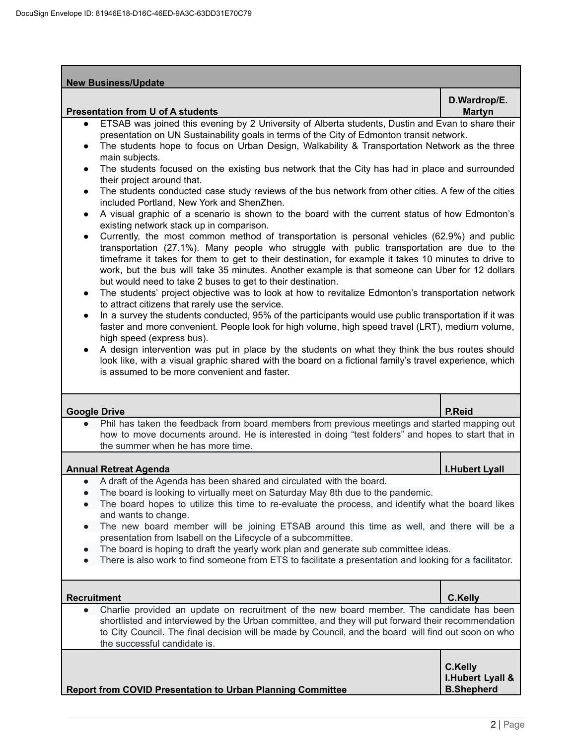| <b>New Business/Update</b>                                                                                                                                                                                                                                                                                                                                                                                                                                                                                                                                                                                                                                                                                                                                                                                                                                                                                                                                                                                                                                                                                                                                                                                                                                                                                                                                                                                                                                                                                                                                                                                                                                                                                                                                                                                                                                                                                                                                                 |                                                          |  |
|----------------------------------------------------------------------------------------------------------------------------------------------------------------------------------------------------------------------------------------------------------------------------------------------------------------------------------------------------------------------------------------------------------------------------------------------------------------------------------------------------------------------------------------------------------------------------------------------------------------------------------------------------------------------------------------------------------------------------------------------------------------------------------------------------------------------------------------------------------------------------------------------------------------------------------------------------------------------------------------------------------------------------------------------------------------------------------------------------------------------------------------------------------------------------------------------------------------------------------------------------------------------------------------------------------------------------------------------------------------------------------------------------------------------------------------------------------------------------------------------------------------------------------------------------------------------------------------------------------------------------------------------------------------------------------------------------------------------------------------------------------------------------------------------------------------------------------------------------------------------------------------------------------------------------------------------------------------------------|----------------------------------------------------------|--|
| <b>Presentation from U of A students</b>                                                                                                                                                                                                                                                                                                                                                                                                                                                                                                                                                                                                                                                                                                                                                                                                                                                                                                                                                                                                                                                                                                                                                                                                                                                                                                                                                                                                                                                                                                                                                                                                                                                                                                                                                                                                                                                                                                                                   | D.Wardrop/E.<br><b>Martyn</b>                            |  |
| ETSAB was joined this evening by 2 University of Alberta students, Dustin and Evan to share their<br>presentation on UN Sustainability goals in terms of the City of Edmonton transit network.<br>The students hope to focus on Urban Design, Walkability & Transportation Network as the three<br>main subjects.<br>The students focused on the existing bus network that the City has had in place and surrounded<br>$\bullet$<br>their project around that.<br>The students conducted case study reviews of the bus network from other cities. A few of the cities<br>$\bullet$<br>included Portland, New York and ShenZhen.<br>A visual graphic of a scenario is shown to the board with the current status of how Edmonton's<br>$\bullet$<br>existing network stack up in comparison.<br>Currently, the most common method of transportation is personal vehicles (62.9%) and public<br>$\bullet$<br>transportation (27.1%). Many people who struggle with public transportation are due to the<br>timeframe it takes for them to get to their destination, for example it takes 10 minutes to drive to<br>work, but the bus will take 35 minutes. Another example is that someone can Uber for 12 dollars<br>but would need to take 2 buses to get to their destination.<br>The students' project objective was to look at how to revitalize Edmonton's transportation network<br>$\bullet$<br>to attract citizens that rarely use the service.<br>In a survey the students conducted, 95% of the participants would use public transportation if it was<br>$\bullet$<br>faster and more convenient. People look for high volume, high speed travel (LRT), medium volume,<br>high speed (express bus).<br>A design intervention was put in place by the students on what they think the bus routes should<br>look like, with a visual graphic shared with the board on a fictional family's travel experience, which<br>is assumed to be more convenient and faster. |                                                          |  |
| <b>Google Drive</b>                                                                                                                                                                                                                                                                                                                                                                                                                                                                                                                                                                                                                                                                                                                                                                                                                                                                                                                                                                                                                                                                                                                                                                                                                                                                                                                                                                                                                                                                                                                                                                                                                                                                                                                                                                                                                                                                                                                                                        | P.Reid                                                   |  |
| Phil has taken the feedback from board members from previous meetings and started mapping out<br>how to move documents around. He is interested in doing "test folders" and hopes to start that in<br>the summer when he has more time.                                                                                                                                                                                                                                                                                                                                                                                                                                                                                                                                                                                                                                                                                                                                                                                                                                                                                                                                                                                                                                                                                                                                                                                                                                                                                                                                                                                                                                                                                                                                                                                                                                                                                                                                    |                                                          |  |
| <b>Annual Retreat Agenda</b>                                                                                                                                                                                                                                                                                                                                                                                                                                                                                                                                                                                                                                                                                                                                                                                                                                                                                                                                                                                                                                                                                                                                                                                                                                                                                                                                                                                                                                                                                                                                                                                                                                                                                                                                                                                                                                                                                                                                               | <b>I.Hubert Lyall</b>                                    |  |
| • A draft of the Agenda has been shared and circulated with the board.<br>The board is looking to virtually meet on Saturday May 8th due to the pandemic.<br>The board hopes to utilize this time to re-evaluate the process, and identify what the board likes<br>and wants to change.<br>The new board member will be joining ETSAB around this time as well, and there will be a<br>presentation from Isabell on the Lifecycle of a subcommittee.<br>The board is hoping to draft the yearly work plan and generate sub committee ideas.<br>There is also work to find someone from ETS to facilitate a presentation and looking for a facilitator.                                                                                                                                                                                                                                                                                                                                                                                                                                                                                                                                                                                                                                                                                                                                                                                                                                                                                                                                                                                                                                                                                                                                                                                                                                                                                                                     |                                                          |  |
| <b>Recruitment</b>                                                                                                                                                                                                                                                                                                                                                                                                                                                                                                                                                                                                                                                                                                                                                                                                                                                                                                                                                                                                                                                                                                                                                                                                                                                                                                                                                                                                                                                                                                                                                                                                                                                                                                                                                                                                                                                                                                                                                         | <b>C.Kelly</b>                                           |  |
| Charlie provided an update on recruitment of the new board member. The candidate has been<br>shortlisted and interviewed by the Urban committee, and they will put forward their recommendation<br>to City Council. The final decision will be made by Council, and the board will find out soon on who<br>the successful candidate is.                                                                                                                                                                                                                                                                                                                                                                                                                                                                                                                                                                                                                                                                                                                                                                                                                                                                                                                                                                                                                                                                                                                                                                                                                                                                                                                                                                                                                                                                                                                                                                                                                                    |                                                          |  |
| <b>Report from COVID Presentation to Urban Planning Committee</b>                                                                                                                                                                                                                                                                                                                                                                                                                                                                                                                                                                                                                                                                                                                                                                                                                                                                                                                                                                                                                                                                                                                                                                                                                                                                                                                                                                                                                                                                                                                                                                                                                                                                                                                                                                                                                                                                                                          | <b>C.Kelly</b><br>I. Hubert Lyall &<br><b>B.Shepherd</b> |  |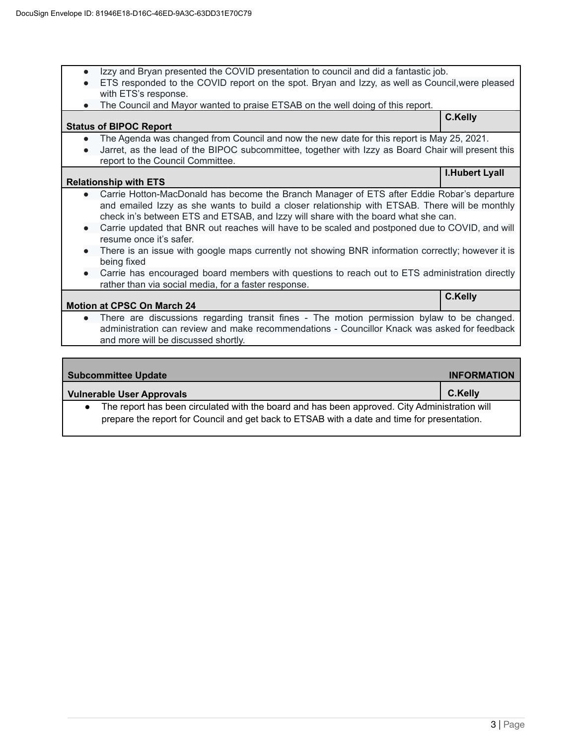- Izzy and Bryan presented the COVID presentation to council and did a fantastic job.
- ETS responded to the COVID report on the spot. Bryan and Izzy, as well as Council,were pleased with ETS's response.
- The Council and Mayor wanted to praise ETSAB on the well doing of this report.

### **Status of BIPOC Report C.Kelly**

- The Agenda was changed from Council and now the new date for this report is May 25, 2021.
- Jarret, as the lead of the BIPOC subcommittee, together with Izzy as Board Chair will present this report to the Council Committee.

#### **Relationship with ETS**

- Carrie Hotton-MacDonald has become the Branch Manager of ETS after Eddie Robar's departure and emailed Izzy as she wants to build a closer relationship with ETSAB. There will be monthly check in's between ETS and ETSAB, and Izzy will share with the board what she can.
- Carrie updated that BNR out reaches will have to be scaled and postponed due to COVID, and will resume once it's safer.
- There is an issue with google maps currently not showing BNR information correctly; however it is being fixed
- Carrie has encouraged board members with questions to reach out to ETS administration directly rather than via social media, for a faster response.

# **Motion at CPSC On March 24**

There are discussions regarding transit fines - The motion permission bylaw to be changed. administration can review and make recommendations - Councillor Knack was asked for feedback and more will be discussed shortly.

| <b>Subcommittee Update</b>                                                                                                                                                                   | <b>INFORMATION</b> |
|----------------------------------------------------------------------------------------------------------------------------------------------------------------------------------------------|--------------------|
| <b>Vulnerable User Approvals</b>                                                                                                                                                             | C.Kelly            |
| The report has been circulated with the board and has been approved. City Administration will<br>prepare the report for Council and get back to ETSAB with a date and time for presentation. |                    |

**I.Hubert Lyall**

**C.Kelly**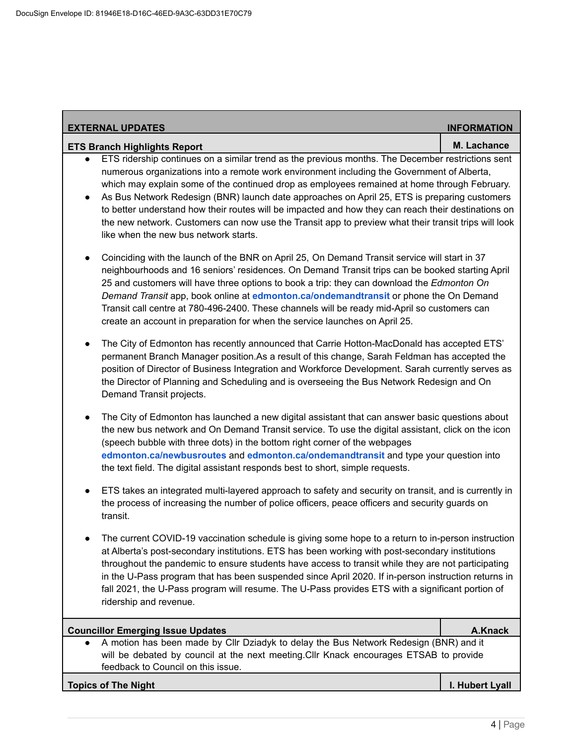| <b>EXTERNAL UPDATES</b>                                                                                                                                                                                                                                                                                                                                                                                                                                                                                                                                                                                                                                                           | <b>INFORMATION</b> |
|-----------------------------------------------------------------------------------------------------------------------------------------------------------------------------------------------------------------------------------------------------------------------------------------------------------------------------------------------------------------------------------------------------------------------------------------------------------------------------------------------------------------------------------------------------------------------------------------------------------------------------------------------------------------------------------|--------------------|
| <b>ETS Branch Highlights Report</b>                                                                                                                                                                                                                                                                                                                                                                                                                                                                                                                                                                                                                                               | M. Lachance        |
| ETS ridership continues on a similar trend as the previous months. The December restrictions sent<br>$\bullet$<br>numerous organizations into a remote work environment including the Government of Alberta,<br>which may explain some of the continued drop as employees remained at home through February.<br>As Bus Network Redesign (BNR) launch date approaches on April 25, ETS is preparing customers<br>$\bullet$<br>to better understand how their routes will be impacted and how they can reach their destinations on<br>the new network. Customers can now use the Transit app to preview what their transit trips will look<br>like when the new bus network starts. |                    |
| Coinciding with the launch of the BNR on April 25, On Demand Transit service will start in 37<br>$\bullet$<br>neighbourhoods and 16 seniors' residences. On Demand Transit trips can be booked starting April<br>25 and customers will have three options to book a trip: they can download the Edmonton On<br>Demand Transit app, book online at edmonton.ca/ondemandtransit or phone the On Demand<br>Transit call centre at 780-496-2400. These channels will be ready mid-April so customers can<br>create an account in preparation for when the service launches on April 25.                                                                                               |                    |
| The City of Edmonton has recently announced that Carrie Hotton-MacDonald has accepted ETS'<br>$\bullet$<br>permanent Branch Manager position.As a result of this change, Sarah Feldman has accepted the<br>position of Director of Business Integration and Workforce Development. Sarah currently serves as<br>the Director of Planning and Scheduling and is overseeing the Bus Network Redesign and On<br>Demand Transit projects.                                                                                                                                                                                                                                             |                    |
| The City of Edmonton has launched a new digital assistant that can answer basic questions about<br>$\bullet$<br>the new bus network and On Demand Transit service. To use the digital assistant, click on the icon<br>(speech bubble with three dots) in the bottom right corner of the webpages<br>edmonton.ca/newbusroutes and edmonton.ca/ondemandtransit and type your question into<br>the text field. The digital assistant responds best to short, simple requests.                                                                                                                                                                                                        |                    |
| ETS takes an integrated multi-layered approach to safety and security on transit, and is currently in<br>$\bullet$<br>the process of increasing the number of police officers, peace officers and security guards on<br>transit.                                                                                                                                                                                                                                                                                                                                                                                                                                                  |                    |
| The current COVID-19 vaccination schedule is giving some hope to a return to in-person instruction<br>at Alberta's post-secondary institutions. ETS has been working with post-secondary institutions<br>throughout the pandemic to ensure students have access to transit while they are not participating<br>in the U-Pass program that has been suspended since April 2020. If in-person instruction returns in<br>fall 2021, the U-Pass program will resume. The U-Pass provides ETS with a significant portion of<br>ridership and revenue.                                                                                                                                  |                    |
| <b>Councillor Emerging Issue Updates</b>                                                                                                                                                                                                                                                                                                                                                                                                                                                                                                                                                                                                                                          | A.Knack            |
| A motion has been made by Cllr Dziadyk to delay the Bus Network Redesign (BNR) and it<br>will be debated by council at the next meeting. Cllr Knack encourages ETSAB to provide<br>feedback to Council on this issue.                                                                                                                                                                                                                                                                                                                                                                                                                                                             |                    |

# **Topics of The Night I. Hubert Lyall**